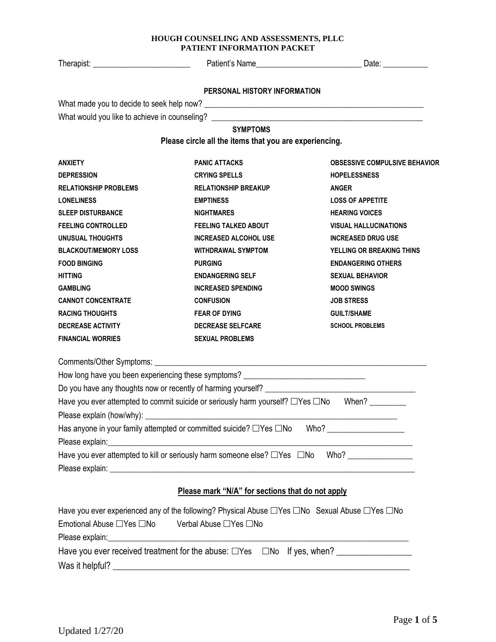Therapist: \_\_\_\_\_\_\_\_\_\_\_\_\_\_\_\_\_\_\_\_\_\_\_\_ Patient's Name\_\_\_\_\_\_\_\_\_\_\_\_\_\_\_\_\_\_\_\_\_\_\_\_\_\_ Date: \_\_\_\_\_\_\_\_\_\_\_

#### **PERSONAL HISTORY INFORMATION**

What made you to decide to seek help now? \_\_\_\_\_\_\_\_\_\_\_\_\_\_\_\_\_\_\_\_\_\_\_\_\_\_\_\_\_\_\_\_\_\_\_\_\_\_\_\_\_\_\_\_\_\_\_\_\_\_\_\_\_\_

What would you like to achieve in counseling? \_\_\_\_\_\_\_\_\_\_\_\_\_\_\_\_\_\_\_\_\_\_\_\_\_\_\_\_\_\_\_\_\_\_

# **SYMPTOMS**

**Please circle all the items that you are experiencing.**

| <b>ANXIETY</b>                                                                                           | <b>PANIC ATTACKS</b>                             | <b>OBSESSIVE COMPULSIVE BEHAVIOR</b> |
|----------------------------------------------------------------------------------------------------------|--------------------------------------------------|--------------------------------------|
| <b>DEPRESSION</b>                                                                                        | <b>CRYING SPELLS</b>                             | <b>HOPELESSNESS</b>                  |
| <b>RELATIONSHIP PROBLEMS</b>                                                                             | <b>RELATIONSHIP BREAKUP</b>                      | <b>ANGER</b>                         |
| <b>LONELINESS</b>                                                                                        | <b>EMPTINESS</b>                                 | <b>LOSS OF APPETITE</b>              |
| <b>SLEEP DISTURBANCE</b>                                                                                 | <b>NIGHTMARES</b>                                | <b>HEARING VOICES</b>                |
| <b>FEELING CONTROLLED</b>                                                                                | <b>FEELING TALKED ABOUT</b>                      | <b>VISUAL HALLUCINATIONS</b>         |
| <b>UNUSUAL THOUGHTS</b>                                                                                  | <b>INCREASED ALCOHOL USE</b>                     | <b>INCREASED DRUG USE</b>            |
| <b>BLACKOUT/MEMORY LOSS</b>                                                                              | <b>WITHDRAWAL SYMPTOM</b>                        | YELLING OR BREAKING THINS            |
| <b>FOOD BINGING</b>                                                                                      | <b>PURGING</b>                                   | <b>ENDANGERING OTHERS</b>            |
| <b>HITTING</b>                                                                                           | <b>ENDANGERING SELF</b>                          | <b>SEXUAL BEHAVIOR</b>               |
| <b>GAMBLING</b>                                                                                          | <b>INCREASED SPENDING</b>                        | <b>MOOD SWINGS</b>                   |
| <b>CANNOT CONCENTRATE</b>                                                                                | <b>CONFUSION</b>                                 | <b>JOB STRESS</b>                    |
| <b>RACING THOUGHTS</b>                                                                                   | <b>FEAR OF DYING</b>                             | <b>GUILT/SHAME</b>                   |
| <b>DECREASE ACTIVITY</b>                                                                                 | <b>DECREASE SELFCARE</b>                         | <b>SCHOOL PROBLEMS</b>               |
| <b>FINANCIAL WORRIES</b>                                                                                 | <b>SEXUAL PROBLEMS</b>                           |                                      |
|                                                                                                          |                                                  |                                      |
| How long have you been experiencing these symptoms? ____________________________                         |                                                  |                                      |
|                                                                                                          |                                                  |                                      |
| Have you ever attempted to commit suicide or seriously harm yourself? □Yes □No When? ________            |                                                  |                                      |
|                                                                                                          |                                                  |                                      |
| Has anyone in your family attempted or committed suicide? $\Box$ Yes $\Box$ No Who? ____________________ |                                                  |                                      |
|                                                                                                          |                                                  |                                      |
| Have you ever attempted to kill or seriously harm someone else? □Yes □No Who? _____________________      |                                                  |                                      |
|                                                                                                          |                                                  |                                      |
|                                                                                                          | Please mark "N/A" for sections that do not apply |                                      |
|                                                                                                          |                                                  |                                      |
| Have you ever experienced any of the following? Physical Abuse □Yes □No Sexual Abuse □Yes □No            |                                                  |                                      |

|                                                                                          |                       | $\frac{1}{2}$ and $\frac{1}{2}$ and $\frac{1}{2}$ and $\frac{1}{2}$ and $\frac{1}{2}$ and $\frac{1}{2}$ and $\frac{1}{2}$ and $\frac{1}{2}$ and $\frac{1}{2}$ and $\frac{1}{2}$ and $\frac{1}{2}$ and $\frac{1}{2}$ and $\frac{1}{2}$ and $\frac{1}{2}$ and $\frac{1}{2}$ and $\frac{1}{2}$ a |
|------------------------------------------------------------------------------------------|-----------------------|-----------------------------------------------------------------------------------------------------------------------------------------------------------------------------------------------------------------------------------------------------------------------------------------------|
| Emotional Abuse □Yes □No                                                                 | Verbal Abuse □Yes □No |                                                                                                                                                                                                                                                                                               |
|                                                                                          |                       |                                                                                                                                                                                                                                                                                               |
| Have you ever received treatment for the abuse: $\square$ Yes $\square$ No If yes, when? |                       |                                                                                                                                                                                                                                                                                               |
| Was it helpful?                                                                          |                       |                                                                                                                                                                                                                                                                                               |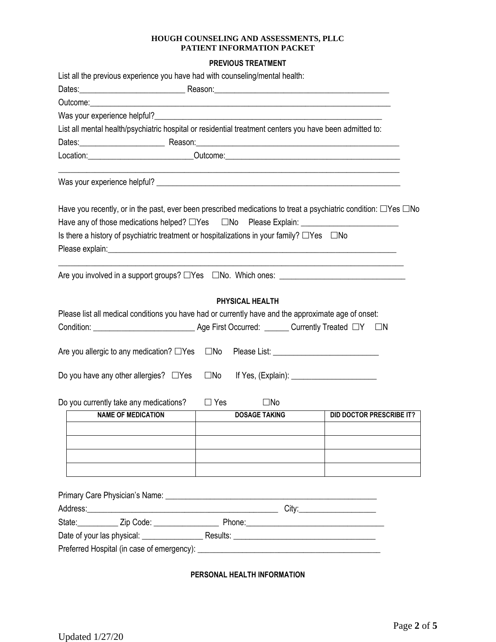### **PREVIOUS TREATMENT**

| List all the previous experience you have had with counseling/mental health:                                                                                                                                                   |              |                      |                                 |
|--------------------------------------------------------------------------------------------------------------------------------------------------------------------------------------------------------------------------------|--------------|----------------------|---------------------------------|
|                                                                                                                                                                                                                                |              |                      |                                 |
| Outcome: experience and the contract of the contract of the contract of the contract of the contract of the contract of the contract of the contract of the contract of the contract of the contract of the contract of the co |              |                      |                                 |
|                                                                                                                                                                                                                                |              |                      |                                 |
| List all mental health/psychiatric hospital or residential treatment centers you have been admitted to:                                                                                                                        |              |                      |                                 |
|                                                                                                                                                                                                                                |              |                      |                                 |
| Location:________________________________Outcome:________________________________                                                                                                                                              |              |                      |                                 |
|                                                                                                                                                                                                                                |              |                      |                                 |
| Have you recently, or in the past, ever been prescribed medications to treat a psychiatric condition: $\Box$ Yes $\Box$ No                                                                                                     |              |                      |                                 |
|                                                                                                                                                                                                                                |              |                      |                                 |
| Is there a history of psychiatric treatment or hospitalizations in your family? $\Box$ Yes $\Box$ No                                                                                                                           |              |                      |                                 |
|                                                                                                                                                                                                                                |              |                      |                                 |
|                                                                                                                                                                                                                                |              |                      |                                 |
| Are you involved in a support groups? $\Box$ Yes $\Box$ No. Which ones: $\Box$                                                                                                                                                 |              |                      |                                 |
| Please list all medical conditions you have had or currently have and the approximate age of onset:<br>Are you allergic to any medication? $\Box$ Yes                                                                          | $\square$ No |                      |                                 |
|                                                                                                                                                                                                                                |              |                      |                                 |
| Do you have any other allergies? $\Box$ Yes                                                                                                                                                                                    | $\square$ No | If Yes, $(Explain):$ |                                 |
| Do you currently take any medications?                                                                                                                                                                                         | $\Box$ Yes   | $\square$ No         |                                 |
| <b>NAME OF MEDICATION</b>                                                                                                                                                                                                      |              | <b>DOSAGE TAKING</b> | <b>DID DOCTOR PRESCRIBE IT?</b> |
|                                                                                                                                                                                                                                |              |                      |                                 |
|                                                                                                                                                                                                                                |              |                      |                                 |
|                                                                                                                                                                                                                                |              |                      |                                 |
|                                                                                                                                                                                                                                |              |                      |                                 |
|                                                                                                                                                                                                                                |              |                      |                                 |
|                                                                                                                                                                                                                                |              |                      |                                 |
|                                                                                                                                                                                                                                |              |                      |                                 |
|                                                                                                                                                                                                                                |              |                      |                                 |

**PERSONAL HEALTH INFORMATION**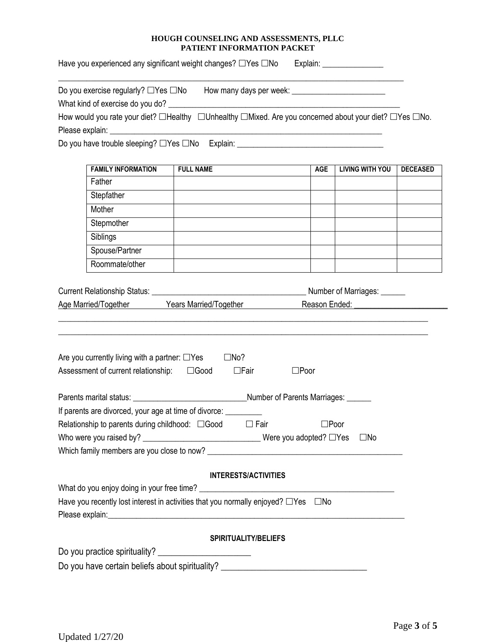Have you experienced any significant weight changes? Yes No Explain: \_\_\_\_\_\_\_\_\_\_\_\_\_\_\_

| Do you exercise regularly? □Yes □No How many days per week: _____________________                      |                  |                             |                |                        |                 |
|--------------------------------------------------------------------------------------------------------|------------------|-----------------------------|----------------|------------------------|-----------------|
| How would you rate your diet? □Healthy □Unhealthy □Mixed. Are you concerned about your diet? □Yes □No. |                  |                             |                |                        |                 |
|                                                                                                        |                  |                             |                |                        |                 |
| Do you have trouble sleeping? □Yes □No Explain: ________________________________                       |                  |                             |                |                        |                 |
|                                                                                                        |                  |                             |                |                        |                 |
| <b>FAMILY INFORMATION</b>                                                                              | <b>FULL NAME</b> |                             | <b>AGE</b>     | <b>LIVING WITH YOU</b> | <b>DECEASED</b> |
| Father                                                                                                 |                  |                             |                |                        |                 |
| Stepfather                                                                                             |                  |                             |                |                        |                 |
| Mother                                                                                                 |                  |                             |                |                        |                 |
| Stepmother                                                                                             |                  |                             |                |                        |                 |
| Siblings                                                                                               |                  |                             |                |                        |                 |
| Spouse/Partner                                                                                         |                  |                             |                |                        |                 |
| Roommate/other                                                                                         |                  |                             |                |                        |                 |
| Are you currently living with a partner: $\Box$ Yes<br>Assessment of current relationship: □ □ Good    | $\Box$ No?       | $\Box$ Fair                 | $\square$ Poor |                        |                 |
| If parents are divorced, your age at time of divorce: __________                                       |                  |                             |                |                        |                 |
| Relationship to parents during childhood: □ Good                                                       |                  |                             |                |                        |                 |
|                                                                                                        |                  | $\Box$ Fair                 | $\square$ Poor |                        |                 |
|                                                                                                        |                  |                             |                |                        |                 |
|                                                                                                        |                  |                             |                |                        |                 |
|                                                                                                        |                  |                             |                |                        |                 |
|                                                                                                        |                  | <b>INTERESTS/ACTIVITIES</b> |                |                        |                 |
|                                                                                                        |                  |                             |                |                        |                 |
| Have you recently lost interest in activities that you normally enjoyed? $\Box$ Yes $\Box$ No          |                  |                             |                |                        |                 |
|                                                                                                        |                  | <b>SPIRITUALITY/BELIEFS</b> |                |                        |                 |
| Do you practice spirituality? ________________________                                                 |                  |                             |                |                        |                 |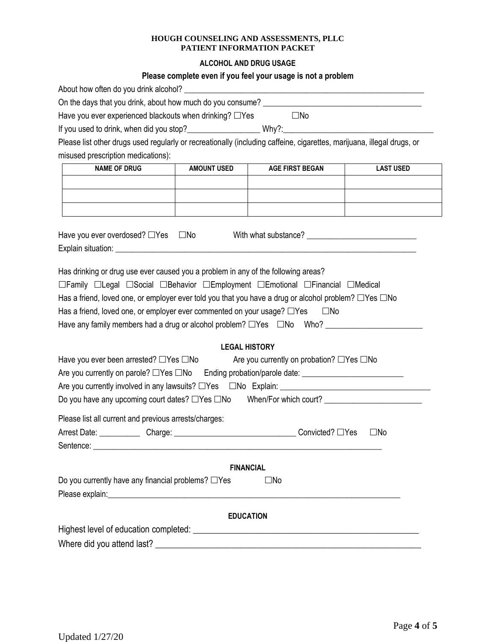## **ALCOHOL AND DRUG USAGE**

# **Please complete even if you feel your usage is not a problem**

| Have you ever experienced blackouts when drinking? $\Box$ Yes                                                          |                      | $\square$ No                                         |                  |  |  |  |
|------------------------------------------------------------------------------------------------------------------------|----------------------|------------------------------------------------------|------------------|--|--|--|
|                                                                                                                        |                      |                                                      |                  |  |  |  |
| Please list other drugs used regularly or recreationally (including caffeine, cigarettes, marijuana, illegal drugs, or |                      |                                                      |                  |  |  |  |
| misused prescription medications):                                                                                     |                      |                                                      |                  |  |  |  |
| <b>NAME OF DRUG</b>                                                                                                    | <b>AMOUNT USED</b>   | <b>AGE FIRST BEGAN</b>                               | <b>LAST USED</b> |  |  |  |
|                                                                                                                        |                      |                                                      |                  |  |  |  |
|                                                                                                                        |                      |                                                      |                  |  |  |  |
|                                                                                                                        |                      |                                                      |                  |  |  |  |
|                                                                                                                        |                      |                                                      |                  |  |  |  |
| Have you ever overdosed? □Yes □No With what substance? _________________________                                       |                      |                                                      |                  |  |  |  |
|                                                                                                                        |                      |                                                      |                  |  |  |  |
|                                                                                                                        |                      |                                                      |                  |  |  |  |
| Has drinking or drug use ever caused you a problem in any of the following areas?                                      |                      |                                                      |                  |  |  |  |
| □Family □Legal □Social □Behavior □Employment □Emotional □Financial □Medical                                            |                      |                                                      |                  |  |  |  |
| Has a friend, loved one, or employer ever told you that you have a drug or alcohol problem? $\Box$ Yes $\Box$ No       |                      |                                                      |                  |  |  |  |
| Has a friend, loved one, or employer ever commented on your usage? $\Box$ Yes $\Box$ No                                |                      |                                                      |                  |  |  |  |
|                                                                                                                        |                      |                                                      |                  |  |  |  |
|                                                                                                                        | <b>LEGAL HISTORY</b> |                                                      |                  |  |  |  |
| Have you ever been arrested? □Yes □No                                                                                  |                      | Are you currently on probation? $\Box$ Yes $\Box$ No |                  |  |  |  |
| Are you currently on parole? □Yes □No Ending probation/parole date: _______________________________                    |                      |                                                      |                  |  |  |  |
|                                                                                                                        |                      |                                                      |                  |  |  |  |
| Do you have any upcoming court dates? □Yes □No When/For which court? ______________________________                    |                      |                                                      |                  |  |  |  |
| Please list all current and previous arrests/charges:                                                                  |                      |                                                      |                  |  |  |  |
|                                                                                                                        |                      |                                                      | $\square$ No     |  |  |  |
|                                                                                                                        |                      |                                                      |                  |  |  |  |
| Sentence:                                                                                                              |                      |                                                      |                  |  |  |  |
|                                                                                                                        | <b>FINANCIAL</b>     |                                                      |                  |  |  |  |
| Do you currently have any financial problems? □Yes                                                                     |                      | $\square$ No                                         |                  |  |  |  |
|                                                                                                                        |                      |                                                      |                  |  |  |  |
|                                                                                                                        |                      |                                                      |                  |  |  |  |
|                                                                                                                        | <b>EDUCATION</b>     |                                                      |                  |  |  |  |
|                                                                                                                        |                      |                                                      |                  |  |  |  |
|                                                                                                                        |                      |                                                      |                  |  |  |  |